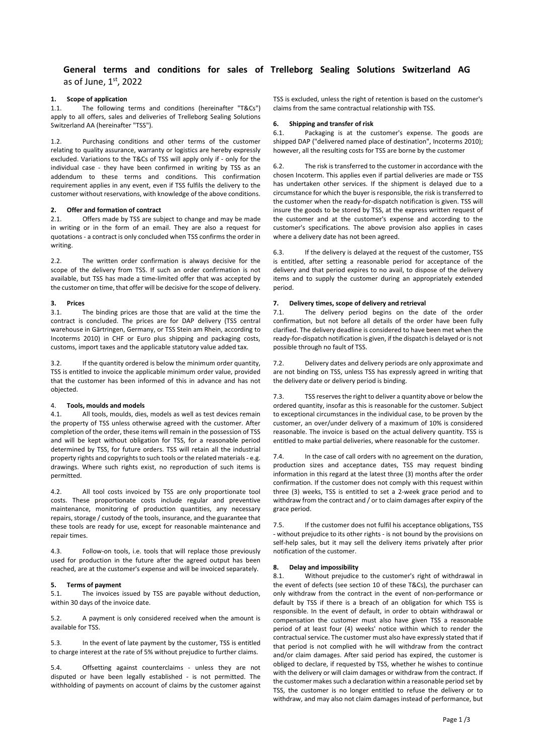## **General terms and conditions for sales of Trelleborg Sealing Solutions Switzerland AG** as of June, 1st, 2022

## **1. Scope of application**

1.1. The following terms and conditions (hereinafter "T&Cs") apply to all offers, sales and deliveries of Trelleborg Sealing Solutions Switzerland AA (hereinafter "TSS").

1.2. Purchasing conditions and other terms of the customer relating to quality assurance, warranty or logistics are hereby expressly excluded. Variations to the T&Cs of TSS will apply only if - only for the individual case - they have been confirmed in writing by TSS as an addendum to these terms and conditions. This confirmation requirement applies in any event, even if TSS fulfils the delivery to the customer without reservations, with knowledge of the above conditions.

#### **2. Offer and formation of contract**

2.1. Offers made by TSS are subject to change and may be made in writing or in the form of an email. They are also a request for quotations - a contract is only concluded when TSS confirms the order in writing.

2.2. The written order confirmation is always decisive for the scope of the delivery from TSS. If such an order confirmation is not available, but TSS has made a time-limited offer that was accepted by the customer on time, that offer will be decisive for the scope of delivery.

# **3. Prices**

The binding prices are those that are valid at the time the contract is concluded. The prices are for DAP delivery (TSS central warehouse in Gärtringen, Germany, or TSS Stein am Rhein, according to Incoterms 2010) in CHF or Euro plus shipping and packaging costs, customs, import taxes and the applicable statutory value added tax.

3.2. If the quantity ordered is below the minimum order quantity, TSS is entitled to invoice the applicable minimum order value, provided that the customer has been informed of this in advance and has not objected.

### 4. **Tools, moulds and models**

4.1. All tools, moulds, dies, models as well as test devices remain the property of TSS unless otherwise agreed with the customer. After completion of the order, these items will remain in the possession of TSS and will be kept without obligation for TSS, for a reasonable period determined by TSS, for future orders. TSS will retain all the industrial property rights and copyrights to such tools or the related materials - e.g. drawings. Where such rights exist, no reproduction of such items is permitted.

4.2. All tool costs invoiced by TSS are only proportionate tool costs. These proportionate costs include regular and preventive maintenance, monitoring of production quantities, any necessary repairs, storage / custody of the tools, insurance, and the guarantee that these tools are ready for use, except for reasonable maintenance and repair times.

4.3. Follow-on tools, i.e. tools that will replace those previously used for production in the future after the agreed output has been reached, are at the customer's expense and will be invoiced separately.

## **5. Terms of payment**

5.1. The invoices issued by TSS are payable without deduction, within 30 days of the invoice date.

5.2. A payment is only considered received when the amount is available for TSS.

5.3. In the event of late payment by the customer, TSS is entitled to charge interest at the rate of 5% without prejudice to further claims.

5.4. Offsetting against counterclaims - unless they are not disputed or have been legally established - is not permitted. The withholding of payments on account of claims by the customer against TSS is excluded, unless the right of retention is based on the customer's claims from the same contractual relationship with TSS.

### **6. Shipping and transfer of risk**

6.1. Packaging is at the customer's expense. The goods are shipped DAP ("delivered named place of destination", Incoterms 2010); however, all the resulting costs for TSS are borne by the customer

6.2. The risk is transferred to the customer in accordance with the chosen Incoterm. This applies even if partial deliveries are made or TSS has undertaken other services. If the shipment is delayed due to a circumstance for which the buyer is responsible, the risk is transferred to the customer when the ready-for-dispatch notification is given. TSS will insure the goods to be stored by TSS, at the express written request of the customer and at the customer's expense and according to the customer's specifications. The above provision also applies in cases where a delivery date has not been agreed.

6.3. If the delivery is delayed at the request of the customer, TSS is entitled, after setting a reasonable period for acceptance of the delivery and that period expires to no avail, to dispose of the delivery items and to supply the customer during an appropriately extended period.

## **7. Delivery times, scope of delivery and retrieval**

7.1. The delivery period begins on the date of the order confirmation, but not before all details of the order have been fully clarified. The delivery deadline is considered to have been met when the ready-for-dispatch notification is given, if the dispatch is delayed or is not possible through no fault of TSS.

7.2. Delivery dates and delivery periods are only approximate and are not binding on TSS, unless TSS has expressly agreed in writing that the delivery date or delivery period is binding.

7.3. TSS reserves the right to deliver a quantity above or below the ordered quantity, insofar as this is reasonable for the customer. Subject to exceptional circumstances in the individual case, to be proven by the customer, an over/under delivery of a maximum of 10% is considered reasonable. The invoice is based on the actual delivery quantity. TSS is entitled to make partial deliveries, where reasonable for the customer.

7.4. In the case of call orders with no agreement on the duration, production sizes and acceptance dates, TSS may request binding information in this regard at the latest three (3) months after the order confirmation. If the customer does not comply with this request within three (3) weeks, TSS is entitled to set a 2-week grace period and to withdraw from the contract and / or to claim damages after expiry of the grace period.

7.5. If the customer does not fulfil his acceptance obligations, TSS - without prejudice to its other rights - is not bound by the provisions on self-help sales, but it may sell the delivery items privately after prior notification of the customer.

## **8. Delay and impossibility**

8.1. Without prejudice to the customer's right of withdrawal in the event of defects (see section 10 of these T&Cs), the purchaser can only withdraw from the contract in the event of non-performance or default by TSS if there is a breach of an obligation for which TSS is responsible. In the event of default, in order to obtain withdrawal or compensation the customer must also have given TSS a reasonable period of at least four (4) weeks' notice within which to render the contractual service. The customer must also have expressly stated that if that period is not complied with he will withdraw from the contract and/or claim damages. After said period has expired, the customer is obliged to declare, if requested by TSS, whether he wishes to continue with the delivery or will claim damages or withdraw from the contract. If the customer makes such a declaration within a reasonable period set by TSS, the customer is no longer entitled to refuse the delivery or to withdraw, and may also not claim damages instead of performance, but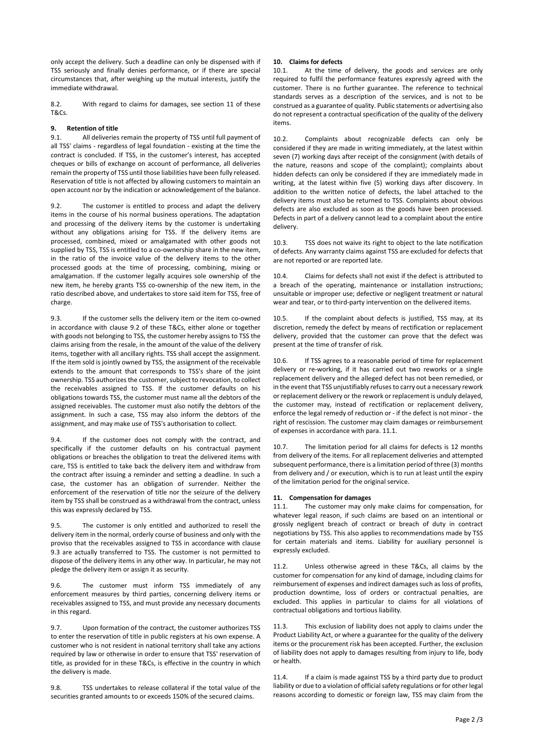only accept the delivery. Such a deadline can only be dispensed with if TSS seriously and finally denies performance, or if there are special circumstances that, after weighing up the mutual interests, justify the immediate withdrawal.

8.2. With regard to claims for damages, see section 11 of these T&Cs.

## **9. Retention of title**

9.1. All deliveries remain the property of TSS until full payment of all TSS' claims - regardless of legal foundation - existing at the time the contract is concluded. If TSS, in the customer's interest, has accepted cheques or bills of exchange on account of performance, all deliveries remain the property of TSS until those liabilities have been fully released. Reservation of title is not affected by allowing customers to maintain an open account nor by the indication or acknowledgement of the balance.

9.2. The customer is entitled to process and adapt the delivery items in the course of his normal business operations. The adaptation and processing of the delivery items by the customer is undertaking without any obligations arising for TSS. If the delivery items are processed, combined, mixed or amalgamated with other goods not supplied by TSS, TSS is entitled to a co-ownership share in the new item, in the ratio of the invoice value of the delivery items to the other processed goods at the time of processing, combining, mixing or amalgamation. If the customer legally acquires sole ownership of the new item, he hereby grants TSS co-ownership of the new item, in the ratio described above, and undertakes to store said item for TSS, free of charge.

9.3. If the customer sells the delivery item or the item co-owned in accordance with clause 9.2 of these T&Cs, either alone or together with goods not belonging to TSS, the customer hereby assigns to TSS the claims arising from the resale, in the amount of the value of the delivery items, together with all ancillary rights. TSS shall accept the assignment. If the item sold is jointly owned by TSS, the assignment of the receivable extends to the amount that corresponds to TSS's share of the joint ownership. TSS authorizes the customer, subject to revocation, to collect the receivables assigned to TSS. If the customer defaults on his obligations towards TSS, the customer must name all the debtors of the assigned receivables. The customer must also notify the debtors of the assignment. In such a case, TSS may also inform the debtors of the assignment, and may make use of TSS's authorisation to collect.

9.4. If the customer does not comply with the contract, and specifically if the customer defaults on his contractual payment obligations or breaches the obligation to treat the delivered items with care, TSS is entitled to take back the delivery item and withdraw from the contract after issuing a reminder and setting a deadline. In such a case, the customer has an obligation of surrender. Neither the enforcement of the reservation of title nor the seizure of the delivery item by TSS shall be construed as a withdrawal from the contract, unless this was expressly declared by TSS.

9.5. The customer is only entitled and authorized to resell the delivery item in the normal, orderly course of business and only with the proviso that the receivables assigned to TSS in accordance with clause 9.3 are actually transferred to TSS. The customer is not permitted to dispose of the delivery items in any other way. In particular, he may not pledge the delivery item or assign it as security.

9.6. The customer must inform TSS immediately of any enforcement measures by third parties, concerning delivery items or receivables assigned to TSS, and must provide any necessary documents in this regard.

9.7. Upon formation of the contract, the customer authorizes TSS to enter the reservation of title in public registers at his own expense. A customer who is not resident in national territory shall take any actions required by law or otherwise in order to ensure that TSS' reservation of title, as provided for in these T&Cs, is effective in the country in which the delivery is made.

9.8. TSS undertakes to release collateral if the total value of the securities granted amounts to or exceeds 150% of the secured claims.

## **10. Claims for defects**

10.1. At the time of delivery, the goods and services are only required to fulfil the performance features expressly agreed with the customer. There is no further guarantee. The reference to technical standards serves as a description of the services, and is not to be construed as a guarantee of quality. Public statements or advertising also do not represent a contractual specification of the quality of the delivery items.

10.2. Complaints about recognizable defects can only be considered if they are made in writing immediately, at the latest within seven (7) working days after receipt of the consignment (with details of the nature, reasons and scope of the complaint); complaints about hidden defects can only be considered if they are immediately made in writing, at the latest within five (5) working days after discovery. In addition to the written notice of defects, the label attached to the delivery items must also be returned to TSS. Complaints about obvious defects are also excluded as soon as the goods have been processed. Defects in part of a delivery cannot lead to a complaint about the entire delivery.

10.3. TSS does not waive its right to object to the late notification of defects. Any warranty claims against TSS are excluded for defects that are not reported or are reported late.

10.4. Claims for defects shall not exist if the defect is attributed to a breach of the operating, maintenance or installation instructions; unsuitable or improper use; defective or negligent treatment or natural wear and tear, or to third-party intervention on the delivered items.

10.5. If the complaint about defects is justified, TSS may, at its discretion, remedy the defect by means of rectification or replacement delivery, provided that the customer can prove that the defect was present at the time of transfer of risk.

10.6. If TSS agrees to a reasonable period of time for replacement delivery or re-working, if it has carried out two reworks or a single replacement delivery and the alleged defect has not been remedied, or in the event that TSS unjustifiably refuses to carry out a necessary rework or replacement delivery or the rework or replacement is unduly delayed, the customer may, instead of rectification or replacement delivery, enforce the legal remedy of reduction or - if the defect is not minor - the right of rescission. The customer may claim damages or reimbursement of expenses in accordance with para. 11.1.

10.7. The limitation period for all claims for defects is 12 months from delivery of the items. For all replacement deliveries and attempted subsequent performance, there is a limitation period of three (3) months from delivery and / or execution, which is to run at least until the expiry of the limitation period for the original service.

## **11. Compensation for damages**

11.1. The customer may only make claims for compensation, for whatever legal reason, if such claims are based on an intentional or grossly negligent breach of contract or breach of duty in contract negotiations by TSS. This also applies to recommendations made by TSS for certain materials and items. Liability for auxiliary personnel is expressly excluded.

11.2. Unless otherwise agreed in these T&Cs, all claims by the customer for compensation for any kind of damage, including claims for reimbursement of expenses and indirect damages such as loss of profits, production downtime, loss of orders or contractual penalties, are excluded. This applies in particular to claims for all violations of contractual obligations and tortious liability.

11.3. This exclusion of liability does not apply to claims under the Product Liability Act, or where a guarantee for the quality of the delivery items or the procurement risk has been accepted. Further, the exclusion of liability does not apply to damages resulting from injury to life, body or health.

11.4. If a claim is made against TSS by a third party due to product liability or due to a violation of official safety regulations or for other legal reasons according to domestic or foreign law, TSS may claim from the